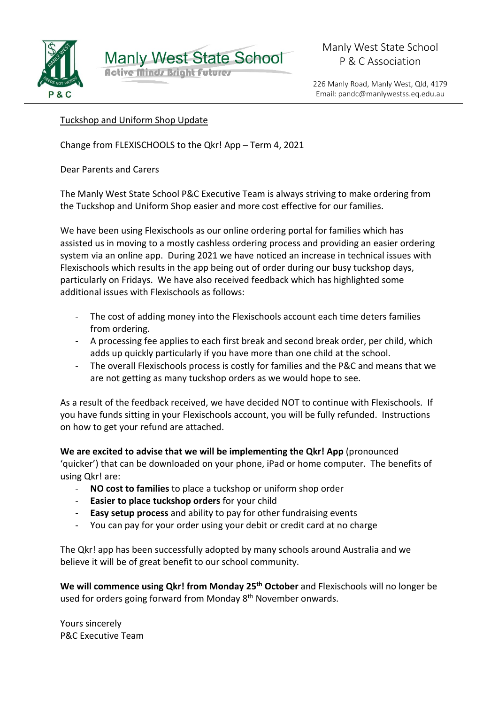

**Manly West State School Active Minds Bright Futures** 

226 Manly Road, Manly West, Qld, 4179 Email: pandc@manlywestss.eq.edu.au

## Tuckshop and Uniform Shop Update

Change from FLEXISCHOOLS to the Qkr! App – Term 4, 2021

Dear Parents and Carers

The Manly West State School P&C Executive Team is always striving to make ordering from the Tuckshop and Uniform Shop easier and more cost effective for our families.

We have been using Flexischools as our online ordering portal for families which has assisted us in moving to a mostly cashless ordering process and providing an easier ordering system via an online app. During 2021 we have noticed an increase in technical issues with Flexischools which results in the app being out of order during our busy tuckshop days, particularly on Fridays. We have also received feedback which has highlighted some additional issues with Flexischools as follows:

- The cost of adding money into the Flexischools account each time deters families from ordering.
- A processing fee applies to each first break and second break order, per child, which adds up quickly particularly if you have more than one child at the school.
- The overall Flexischools process is costly for families and the P&C and means that we are not getting as many tuckshop orders as we would hope to see.

As a result of the feedback received, we have decided NOT to continue with Flexischools. If you have funds sitting in your Flexischools account, you will be fully refunded. Instructions on how to get your refund are attached.

**We are excited to advise that we will be implementing the Qkr! App** (pronounced 'quicker') that can be downloaded on your phone, iPad or home computer.The benefits of using Qkr! are:

- **NO cost to families** to place a tuckshop or uniform shop order
- **Easier to place tuckshop orders** for your child
- **Easy setup process** and ability to pay for other fundraising events
- You can pay for your order using your debit or credit card at no charge

The Qkr! app has been successfully adopted by many schools around Australia and we believe it will be of great benefit to our school community.

We will commence using Qkr! from Monday 25<sup>th</sup> October and Flexischools will no longer be used for orders going forward from Monday 8<sup>th</sup> November onwards.

Yours sincerely P&C Executive Team